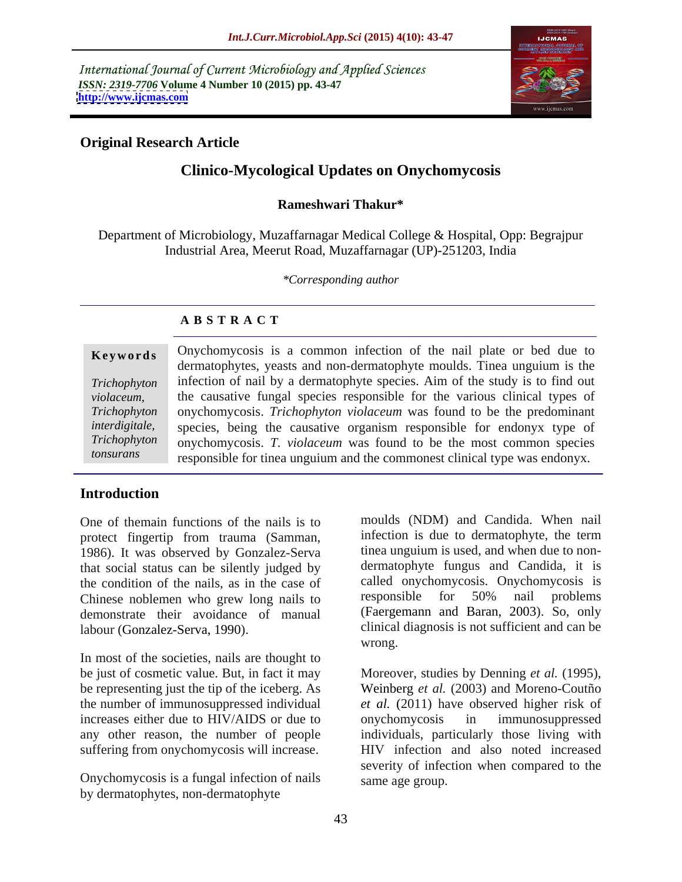International Journal of Current Microbiology and Applied Sciences *ISSN: 2319-7706* **Volume 4 Number 10 (2015) pp. 43-47 <http://www.ijcmas.com>**



## **Original Research Article**

# **Clinico-Mycological Updates on Onychomycosis**

### **Rameshwari Thakur\***

Department of Microbiology, Muzaffarnagar Medical College & Hospital, Opp: Begrajpur Industrial Area, Meerut Road, Muzaffarnagar (UP)-251203, India

*\*Corresponding author*

## **A B S T R A C T**

*tonsurans* 

**Keywords** Onychomycosis is a common infection of the nail plate or bed due to dermatophytes, yeasts and non-dermatophyte moulds. Tinea unguium is the infection of nail by a dermatophyte species. Aim of the study is to find out *Trichophyton violaceum*, the causative fungal species responsible for the various clinical types of onychomycosis. *Trichophyton violaceum* was found to be the predominant *Trichophyton*  species, being the causative organism responsible for endonyx type of *interdigitale,*  onychomycosis. *T. violaceum* was found to be the most common species *Trichophyton*  responsible for tinea unguium and the commonest clinical type was endonyx.

## **Introduction**

One of themain functions of the nails is to protect fingertip from trauma (Samman, infection is due to dermatophyte, the term<br>1986). It was observed by Gonzalez-Serva tinea unguium is used, and when due to nonthat social status can be silently judged by the condition of the nails, as in the case of called onychomycosis. Onychomycosis is<br>Chinese noblemen who grew long nails to responsible for 50% nail problems Chinese noblemen who grew long nails to demonstrate their avoidance of manual

In most of the societies, nails are thought to be just of cosmetic value. But, in fact it may Moreover, studies by Denning et al. (1995), be representing just the tip of the iceberg. As Weinberg *et al.* (2003) and Moreno-Coutño increases either due to HIV/AIDS or due to onychomycosis in immunosuppressed suffering from onychomycosis will increase.

Onychomycosis is a fungal infection of nails by dermatophytes, non-dermatophyte

labour (Gonzalez-Serva, 1990). clinical diagnosis is not sufficient and can be moulds (NDM) and Candida. When nail infection is due to dermatophyte, the term tinea unguium is used, and when due to non dermatophyte fungus and Candida, it is called onychomycosis. Onychomycosis is responsible for 50% nail problems (Faergemann and Baran, 2003). So, only wrong.

the number of immunosuppressed individual *et al.* (2011) have observed higher risk of any other reason, the number of people individuals, particularly those living with Moreover, studies by Denning *et al.* (1995), Weinberg *et al.* (2003) and Moreno-Coutño onychomycosis in immunosuppressed HIV infection and also noted increased severity of infection when compared to the same age group.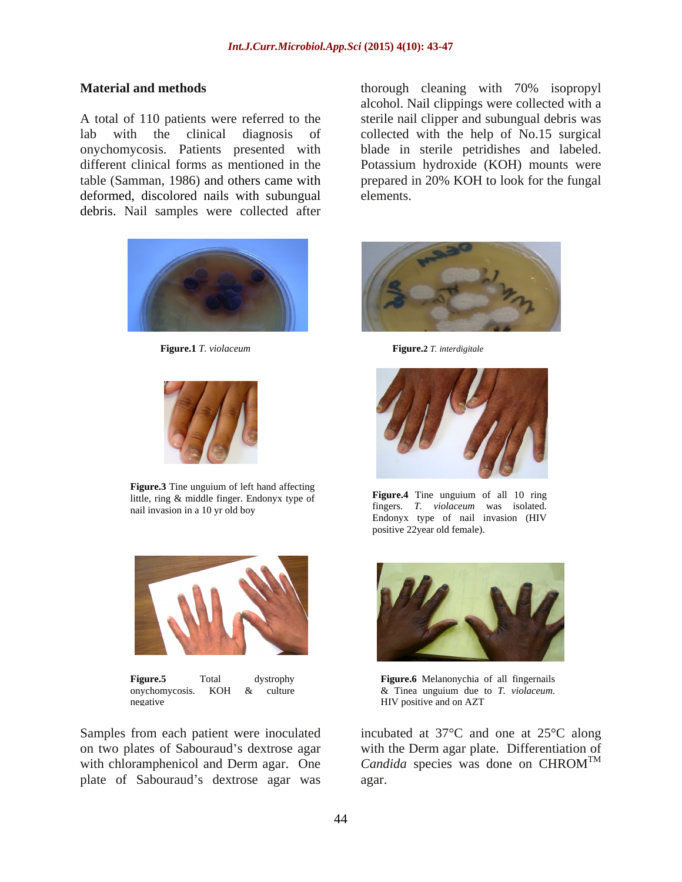A total of 110 patients were referred to the sterile nail clipper and subungual debris was lab with the clinical diagnosis of collected with the help of No.15 surgical onychomycosis. Patients presented with blade in sterile petridishes and labeled. different clinical forms as mentioned in the Potassium hydroxide (KOH) mounts were table (Samman, 1986) and others came with prepared in 20% KOH to look for the fungal deformed, discolored nails with subungual elements. debris. Nail samples were collected after



**Figure.1** *T. violaceum* **Figure.2** *T. interdigitale*



**Figure.3** Tine unguium of left hand affecting the state of the state of the state of the state of the state of the state of the state of the state of the state of the state of the state of the state of the state of the st little, ring & middle finger. Endonyx type of **Figure.** The unguium of all 10 ring nail invasion in a 10 yr old boy the sum of the series of the material was solution was the series of the series of the series of the series of the series of the series of the series of the series of the series of the seri



on two plates of Sabouraud's dextrose agar with the Derm agar plate. Differentiation of with chloramphenicol and Derm agar. One Candida species was done on CHROM<sup>TM</sup> plate of Sabouraud's dextrose agar was agar.

**Material and methods** thorough cleaning with 70% isopropyl alcohol. Nail clippings were collected with a elements.





**Figure.4** Tine unguium of all 10 ring fingers. *T. violaceum* was isolated. Endonyx type of nail invasion (HIV positive 22year old female).



**Figure.5** Total dystrophy **Figure.6** Melanonychia of all fingernails onychomycosis. KOH  $\&$  culture  $\&$  Tinea unguium due to *T. violaceum*. negative and on AZT negative and on AZT & Tinea unguium due to *T. violaceum*. HIV positive and on AZT

Samples from each patient were inoculated incubated at 37°C and one at 25°C along *Candida* species was done on CHROM TM agar.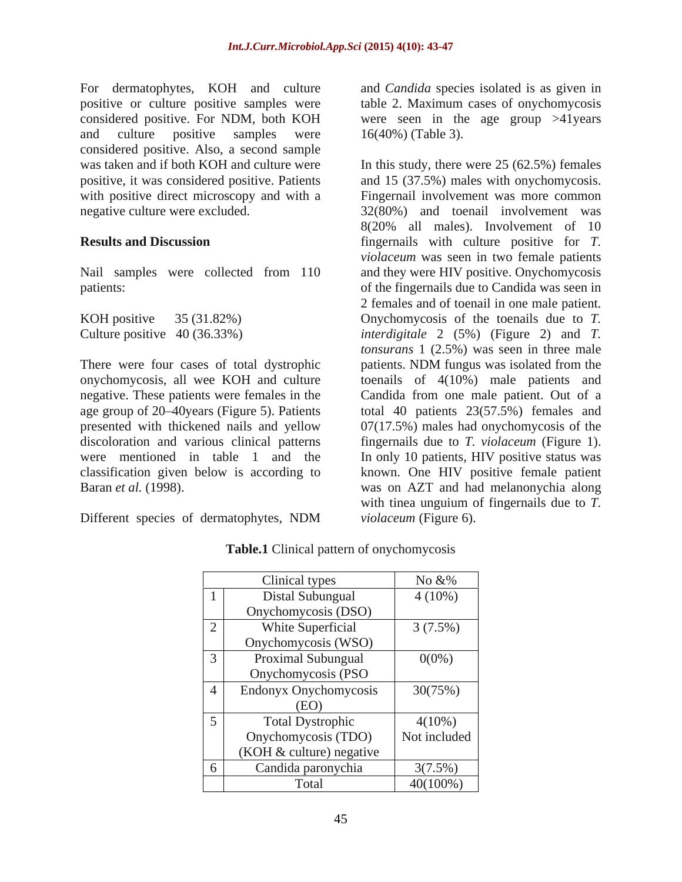For dermatophytes, KOH and culture positive or culture positive samples were table 2. Maximum cases of onychomycosis considered positive. For NDM, both KOH were seen in the age group >41years and culture positive samples were  $16(40\%)$  (Table 3). considered positive. Also, a second sample

There were four cases of total dystrophic patients. NDM fungus was isolated from the discoloration and various clinical patterns fingernails due to T. violaceum (Figure 1). were mentioned in table 1 and the In only 10 patients, HIV positive status was

Different species of dermatophytes, NDM violaceum (Figure 6).

and *Candida* species isolated is as given in 16(40%) (Table 3).

was taken and if both KOH and culture were In this study, there were 25 (62.5%) females positive, it was considered positive. Patients and 15 (37.5%) males with onychomycosis. with positive direct microscopy and with a Fingernail involvement was more common negative culture were excluded. 32(80%) and toenail involvement was **Results and Discussion** fingernails with culture positive for *T.*  Nail samples were collected from 110 and they were HIV positive. Onychomycosis patients: of the fingernails due to Candida was seen in KOH positive 35 (31.82%) Onychomycosis of the toenails due to *T.*  Culture positive 40 (36.33%) *interdigitale* 2 (5%) (Figure 2) and *T.*  onychomycosis, all wee KOH and culture toenails of 4(10%) male patients and negative. These patients were females in the Candida from one male patient. Out of a age group of 20 40years (Figure 5). Patients total 40 patients 23(57.5%) females and presented with thickened nails and yellow  $07(17.5%)$  males had onychomycosis of the classification given below is according to known. One HIV positive female patient Baran *et al.* (1998). was on AZT and had melanonychia along 8(20% all males). Involvement of 10 *violaceum* was seen in two female patients 2 females and of toenail in one male patient. *tonsurans* 1 (2.5%) was seen in three male patients. NDM fungus was isolated from the fingernails due to *T. violaceum* (Figure 1). In only <sup>10</sup> patients, HIV positive status was with tinea unguium of fingernails due to *T. violaceum* (Figure 6).

| <b>Clinical types</b>      | No &%        |
|----------------------------|--------------|
| Distal Subungual           | $4(10\%)$    |
| Onychomycosis (DSO)        |              |
| White Superficial          | $3(7.5\%)$   |
| Onychomycosis (WSO)        |              |
| Proximal Subungual         | $0(0\%)$     |
| Onychomycosis (PSO         |              |
| Endonyx Onychomycosis      | 30(75%)      |
| (EO)                       |              |
| <b>Total Dystrophic</b>    | $4(10\%)$    |
| Onychomycosis (TDO)        | Not included |
| $(KOH & culture)$ negative |              |
| Candida paronychia         | $3(7.5\%)$   |
| Total                      | $40(100\%)$  |

| Table.1<br>$\sim$<br>onychomycosis<br>al pattern c<br>linical |  |
|---------------------------------------------------------------|--|
|                                                               |  |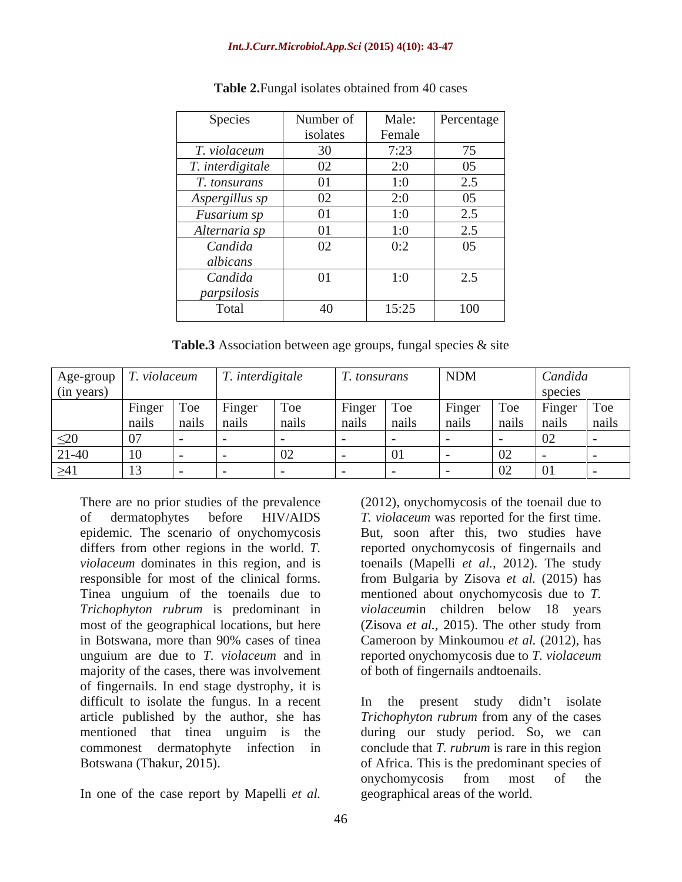### *Int.J.Curr.Microbiol.App.Sci* **(2015) 4(10): 43-47**

| Species          | Number of | Male:  | Percentage |
|------------------|-----------|--------|------------|
|                  | isolates  | Female |            |
| T. violaceum     | 30        | 7:23   | 75         |
| T. interdigitale | 02        | 2:0    | 05         |
| T. tonsurans     | 01        | 1:0    | 2.5        |
| Aspergillus sp   | 02        | 2:0    | 05         |
| Fusarium sp      | 01        | 1:0    | 2.5        |
| Alternaria sp    | 01        | 1:0    | 2.5        |
| Candida          | 02        | 0:2    | 05         |
| albicans         |           |        |            |
| Candida          | 01        | 1:0    | 2.5        |
| parpsilosis      |           |        |            |
| Total            | 40        | 15:25  | 100        |

### **Table 2.**Fungal isolates obtained from 40 cases

**Table.3** Association between age groups, fungal species & site

|            |                 |                          | $\vert$ Age-group $\vert$ T. violaceum $\vert$ T. interdigitale |     | <i>T. tonsurans</i> | NDM | Candida                     |  |
|------------|-----------------|--------------------------|-----------------------------------------------------------------|-----|---------------------|-----|-----------------------------|--|
| (in years) |                 |                          |                                                                 |     |                     |     |                             |  |
|            |                 |                          | Finger   Toe   Finger                                           | Toe | Finger Toe Finger   |     | $\lceil$ Toe   Finger   Toe |  |
|            |                 | <b>Contract Contract</b> |                                                                 |     |                     |     |                             |  |
| $\leq$ 20  |                 |                          |                                                                 |     |                     |     |                             |  |
| $21-40$    | $\overline{10}$ |                          |                                                                 |     |                     |     |                             |  |
| >41        |                 |                          |                                                                 |     |                     |     |                             |  |

There are no prior studies of the prevalence (2012), onychomycosis of the toenail due to Tinea unguium of the toenails due to majority of the cases, there was involvement of fingernails. In end stage dystrophy, it is difficult to isolate the fungus. In a recent In article published by the author, she has *Trichophyton rubrum* from any of the cases mentioned that tinea unguim is the during our study period. So, we can commonest dermatophyte infection in conclude that *T. rubrum* is rare in this region There are no prior studies of the prevalence (2012), onychomycosis of the toenail due to<br>
order matophytes before HIV/AIDS T. violaceum was reported for the first time.<br>
epidemic. The scenario of onychomycosis But, scon a

of dermatophytes before HIV/AIDS *T. violaceum* was reported for the first time. epidemic. The scenario of onychomycosis But, soon after this, two studies have differs from other regions in the world. *T.*  reported onychomycosis of fingernails and *violaceum* dominates in this region, and is toenails (Mapelli *et al.,* 2012). The study responsible for most of the clinical forms. from Bulgaria by Zisova *et al.* (2015) has *Trichophyton rubrum* is predominant in *violaceum*in children below 18 years most of the geographical locations, but here (Zisova *et al.,* 2015). The other study from in Botswana, more than 90% cases of tinea Cameroon by Minkoumou *et al.* (2012), has unguium are due to *T. violaceum* and in reported onychomycosis due to *T. violaceum* mentioned about onychomycosis due to *T.*  of both of fingernails andtoenails.

Botswana (Thakur, 2015). of Africa. This is the predominant species of the present study didn't isolate onychomycosis from most of the geographical areas of the world.